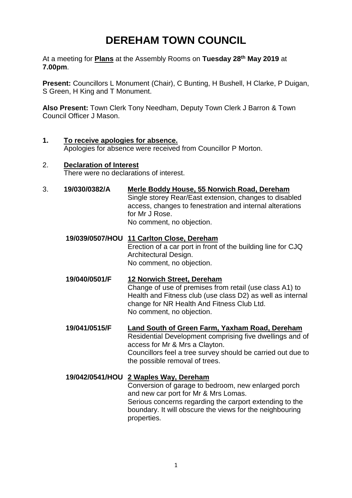# **DEREHAM TOWN COUNCIL**

At a meeting for **Plans** at the Assembly Rooms on **Tuesday 28th May 2019** at **7.00pm**.

**Present:** Councillors L Monument (Chair), C Bunting, H Bushell, H Clarke, P Duigan, S Green, H King and T Monument.

**Also Present:** Town Clerk Tony Needham, Deputy Town Clerk J Barron & Town Council Officer J Mason.

**1. To receive apologies for absence.**  Apologies for absence were received from Councillor P Morton.

### 2. **Declaration of Interest**

There were no declarations of interest.

3. **19/030/0382/A Merle Boddy House, 55 Norwich Road, Dereham**

Single storey Rear/East extension, changes to disabled access, changes to fenestration and internal alterations for Mr J Rose. No comment, no objection.

- **19/039/0507/HOU 11 Carlton Close, Dereham** Erection of a car port in front of the building line for CJQ Architectural Design. No comment, no objection.
- **19/040/0501/F 12 Norwich Street, Dereham** Change of use of premises from retail (use class A1) to Health and Fitness club (use class D2) as well as internal change for NR Health And Fitness Club Ltd. No comment, no objection.
- **19/041/0515/F Land South of Green Farm, Yaxham Road, Dereham** Residential Development comprising five dwellings and of access for Mr & Mrs a Clayton. Councillors feel a tree survey should be carried out due to the possible removal of trees.

#### **19/042/0541/HOU 2 Waples Way, Dereham**  Conversion of garage to bedroom, new enlarged porch and new car port for Mr & Mrs Lomas. Serious concerns regarding the carport extending to the boundary. It will obscure the views for the neighbouring properties.